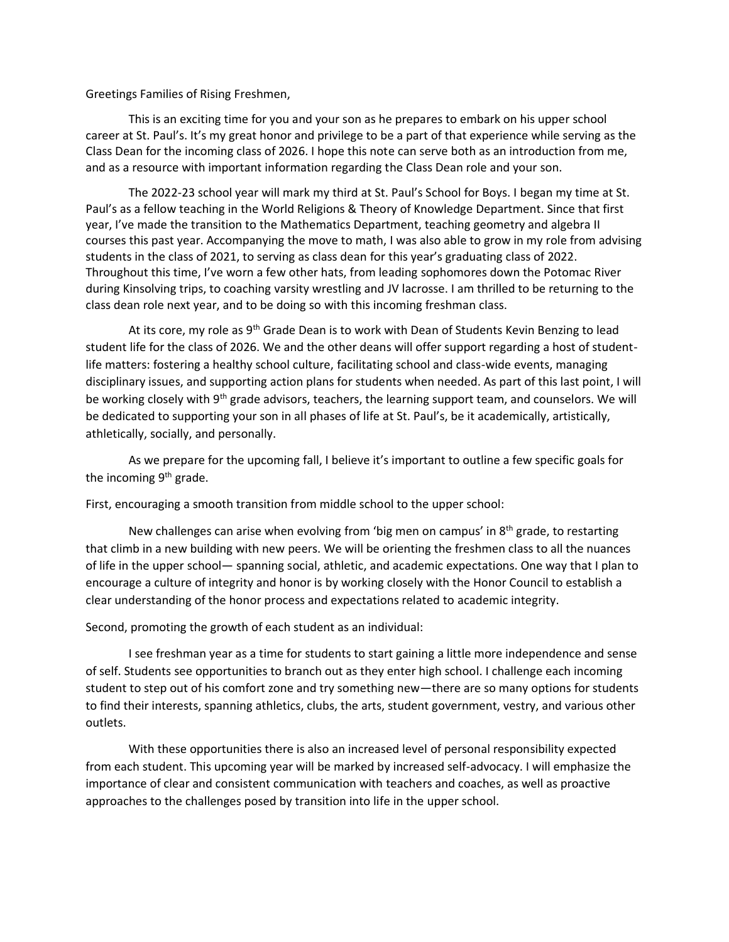Greetings Families of Rising Freshmen,

This is an exciting time for you and your son as he prepares to embark on his upper school career at St. Paul's. It's my great honor and privilege to be a part of that experience while serving as the Class Dean for the incoming class of 2026. I hope this note can serve both as an introduction from me, and as a resource with important information regarding the Class Dean role and your son.

The 2022-23 school year will mark my third at St. Paul's School for Boys. I began my time at St. Paul's as a fellow teaching in the World Religions & Theory of Knowledge Department. Since that first year, I've made the transition to the Mathematics Department, teaching geometry and algebra II courses this past year. Accompanying the move to math, I was also able to grow in my role from advising students in the class of 2021, to serving as class dean for this year's graduating class of 2022. Throughout this time, I've worn a few other hats, from leading sophomores down the Potomac River during Kinsolving trips, to coaching varsity wrestling and JV lacrosse. I am thrilled to be returning to the class dean role next year, and to be doing so with this incoming freshman class.

At its core, my role as 9<sup>th</sup> Grade Dean is to work with Dean of Students Kevin Benzing to lead student life for the class of 2026. We and the other deans will offer support regarding a host of studentlife matters: fostering a healthy school culture, facilitating school and class-wide events, managing disciplinary issues, and supporting action plans for students when needed. As part of this last point, I will be working closely with 9<sup>th</sup> grade advisors, teachers, the learning support team, and counselors. We will be dedicated to supporting your son in all phases of life at St. Paul's, be it academically, artistically, athletically, socially, and personally.

As we prepare for the upcoming fall, I believe it's important to outline a few specific goals for the incoming 9<sup>th</sup> grade.

First, encouraging a smooth transition from middle school to the upper school:

New challenges can arise when evolving from 'big men on campus' in  $8<sup>th</sup>$  grade, to restarting that climb in a new building with new peers. We will be orienting the freshmen class to all the nuances of life in the upper school— spanning social, athletic, and academic expectations. One way that I plan to encourage a culture of integrity and honor is by working closely with the Honor Council to establish a clear understanding of the honor process and expectations related to academic integrity.

Second, promoting the growth of each student as an individual:

I see freshman year as a time for students to start gaining a little more independence and sense of self. Students see opportunities to branch out as they enter high school. I challenge each incoming student to step out of his comfort zone and try something new—there are so many options for students to find their interests, spanning athletics, clubs, the arts, student government, vestry, and various other outlets.

With these opportunities there is also an increased level of personal responsibility expected from each student. This upcoming year will be marked by increased self-advocacy. I will emphasize the importance of clear and consistent communication with teachers and coaches, as well as proactive approaches to the challenges posed by transition into life in the upper school.